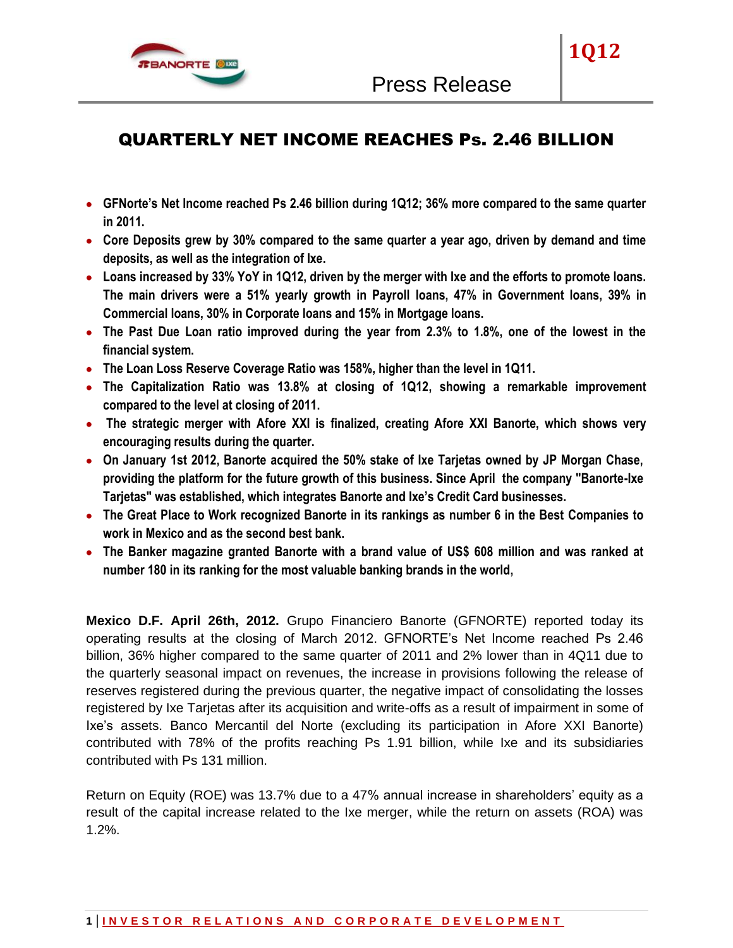

**1Q12**

- **GFNorte's Net Income reached Ps 2.46 billion during 1Q12; 36% more compared to the same quarter in 2011.**
- **Core Deposits grew by 30% compared to the same quarter a year ago, driven by demand and time deposits, as well as the integration of Ixe.**
- **Loans increased by 33% YoY in 1Q12, driven by the merger with Ixe and the efforts to promote loans. The main drivers were a 51% yearly growth in Payroll loans, 47% in Government loans, 39% in Commercial loans, 30% in Corporate loans and 15% in Mortgage loans.**
- **The Past Due Loan ratio improved during the year from 2.3% to 1.8%, one of the lowest in the financial system.**
- **The Loan Loss Reserve Coverage Ratio was 158%, higher than the level in 1Q11.**
- **The Capitalization Ratio was 13.8% at closing of 1Q12, showing a remarkable improvement compared to the level at closing of 2011.**
- **The strategic merger with Afore XXI is finalized, creating Afore XXI Banorte, which shows very encouraging results during the quarter.**
- **On January 1st 2012, Banorte acquired the 50% stake of Ixe Tarjetas owned by JP Morgan Chase, providing the platform for the future growth of this business. Since April the company "Banorte-Ixe Tarjetas" was established, which integrates Banorte and Ixe's Credit Card businesses.**
- **The Great Place to Work recognized Banorte in its rankings as number 6 in the Best Companies to work in Mexico and as the second best bank.**
- **The Banker magazine granted Banorte with a brand value of US\$ 608 million and was ranked at number 180 in its ranking for the most valuable banking brands in the world,**

**Mexico D.F. April 26th, 2012.** Grupo Financiero Banorte (GFNORTE) reported today its operating results at the closing of March 2012. GFNORTE's Net Income reached Ps 2.46 billion, 36% higher compared to the same quarter of 2011 and 2% lower than in 4Q11 due to the quarterly seasonal impact on revenues, the increase in provisions following the release of reserves registered during the previous quarter, the negative impact of consolidating the losses registered by Ixe Tarjetas after its acquisition and write-offs as a result of impairment in some of Ixe's assets. Banco Mercantil del Norte (excluding its participation in Afore XXI Banorte) contributed with 78% of the profits reaching Ps 1.91 billion, while Ixe and its subsidiaries contributed with Ps 131 million.

Return on Equity (ROE) was 13.7% due to a 47% annual increase in shareholders' equity as a result of the capital increase related to the Ixe merger, while the return on assets (ROA) was 1.2%.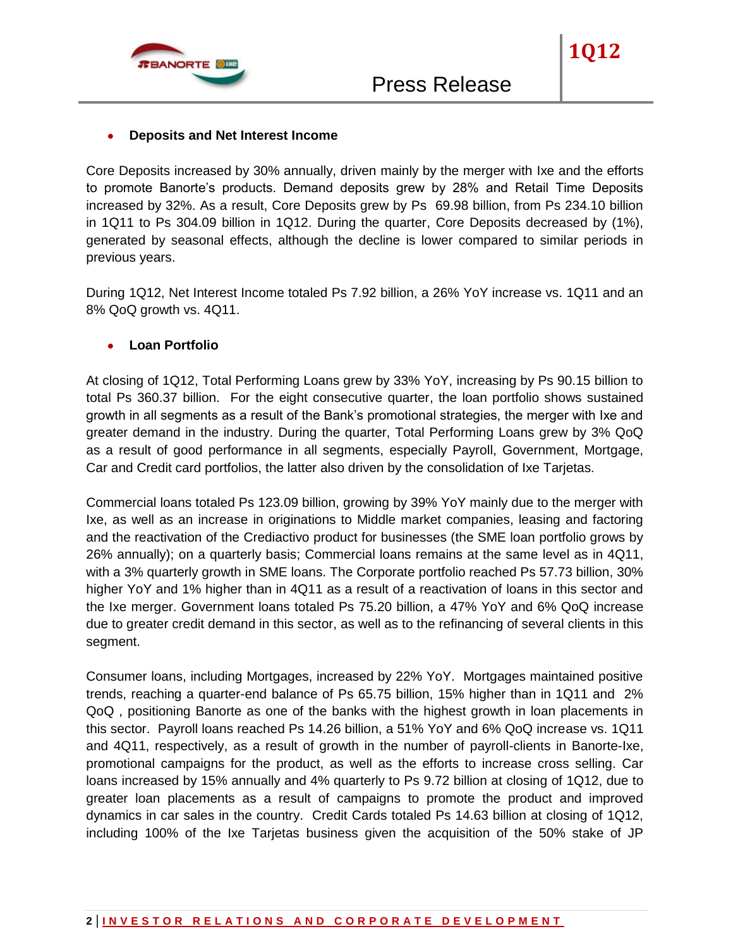

**1Q12**

Core Deposits increased by 30% annually, driven mainly by the merger with Ixe and the efforts to promote Banorte's products. Demand deposits grew by 28% and Retail Time Deposits increased by 32%. As a result, Core Deposits grew by Ps 69.98 billion, from Ps 234.10 billion in 1Q11 to Ps 304.09 billion in 1Q12. During the quarter, Core Deposits decreased by (1%), generated by seasonal effects, although the decline is lower compared to similar periods in previous years.

During 1Q12, Net Interest Income totaled Ps 7.92 billion, a 26% YoY increase vs. 1Q11 and an 8% QoQ growth vs. 4Q11.

## **Loan Portfolio**

At closing of 1Q12, Total Performing Loans grew by 33% YoY, increasing by Ps 90.15 billion to total Ps 360.37 billion. For the eight consecutive quarter, the loan portfolio shows sustained growth in all segments as a result of the Bank's promotional strategies, the merger with Ixe and greater demand in the industry. During the quarter, Total Performing Loans grew by 3% QoQ as a result of good performance in all segments, especially Payroll, Government, Mortgage, Car and Credit card portfolios, the latter also driven by the consolidation of Ixe Tarjetas.

Commercial loans totaled Ps 123.09 billion, growing by 39% YoY mainly due to the merger with Ixe, as well as an increase in originations to Middle market companies, leasing and factoring and the reactivation of the Crediactivo product for businesses (the SME loan portfolio grows by 26% annually); on a quarterly basis; Commercial loans remains at the same level as in 4Q11, with a 3% quarterly growth in SME loans. The Corporate portfolio reached Ps 57.73 billion, 30% higher YoY and 1% higher than in 4Q11 as a result of a reactivation of loans in this sector and the Ixe merger. Government loans totaled Ps 75.20 billion, a 47% YoY and 6% QoQ increase due to greater credit demand in this sector, as well as to the refinancing of several clients in this segment.

Consumer loans, including Mortgages, increased by 22% YoY. Mortgages maintained positive trends, reaching a quarter-end balance of Ps 65.75 billion, 15% higher than in 1Q11 and 2% QoQ , positioning Banorte as one of the banks with the highest growth in loan placements in this sector. Payroll loans reached Ps 14.26 billion, a 51% YoY and 6% QoQ increase vs. 1Q11 and 4Q11, respectively, as a result of growth in the number of payroll-clients in Banorte-Ixe, promotional campaigns for the product, as well as the efforts to increase cross selling. Car loans increased by 15% annually and 4% quarterly to Ps 9.72 billion at closing of 1Q12, due to greater loan placements as a result of campaigns to promote the product and improved dynamics in car sales in the country. Credit Cards totaled Ps 14.63 billion at closing of 1Q12, including 100% of the Ixe Tarjetas business given the acquisition of the 50% stake of JP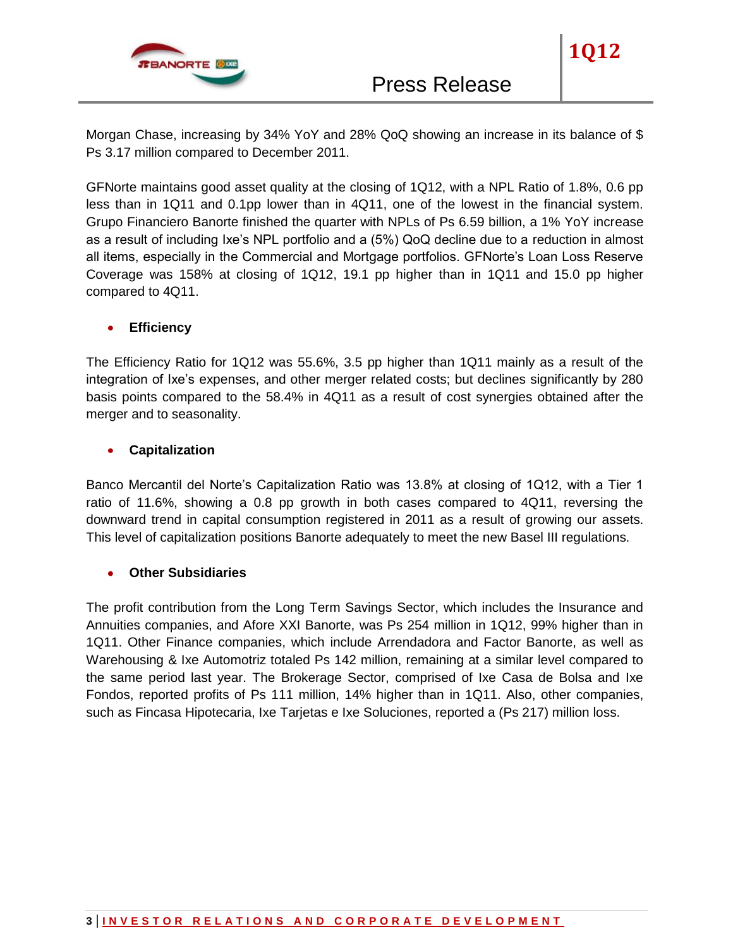

Morgan Chase, increasing by 34% YoY and 28% QoQ showing an increase in its balance of \$ Ps 3.17 million compared to December 2011.

GFNorte maintains good asset quality at the closing of 1Q12, with a NPL Ratio of 1.8%, 0.6 pp less than in 1Q11 and 0.1pp lower than in 4Q11, one of the lowest in the financial system. Grupo Financiero Banorte finished the quarter with NPLs of Ps 6.59 billion, a 1% YoY increase as a result of including Ixe's NPL portfolio and a (5%) QoQ decline due to a reduction in almost all items, especially in the Commercial and Mortgage portfolios. GFNorte's Loan Loss Reserve Coverage was 158% at closing of 1Q12, 19.1 pp higher than in 1Q11 and 15.0 pp higher compared to 4Q11.

## **Efficiency**

The Efficiency Ratio for 1Q12 was 55.6%, 3.5 pp higher than 1Q11 mainly as a result of the integration of Ixe's expenses, and other merger related costs; but declines significantly by 280 basis points compared to the 58.4% in 4Q11 as a result of cost synergies obtained after the merger and to seasonality.

## **Capitalization**

Banco Mercantil del Norte's Capitalization Ratio was 13.8% at closing of 1Q12, with a Tier 1 ratio of 11.6%, showing a 0.8 pp growth in both cases compared to 4Q11, reversing the downward trend in capital consumption registered in 2011 as a result of growing our assets. This level of capitalization positions Banorte adequately to meet the new Basel III regulations.

## **Other Subsidiaries**

The profit contribution from the Long Term Savings Sector, which includes the Insurance and Annuities companies, and Afore XXI Banorte, was Ps 254 million in 1Q12, 99% higher than in 1Q11. Other Finance companies, which include Arrendadora and Factor Banorte, as well as Warehousing & Ixe Automotriz totaled Ps 142 million, remaining at a similar level compared to the same period last year. The Brokerage Sector, comprised of Ixe Casa de Bolsa and Ixe Fondos, reported profits of Ps 111 million, 14% higher than in 1Q11. Also, other companies, such as Fincasa Hipotecaria, Ixe Tarjetas e Ixe Soluciones, reported a (Ps 217) million loss.